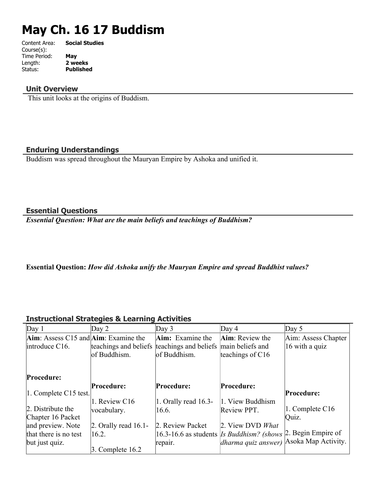# **May Ch. 16 17 Buddism**

| Content Area: | <b>Social Studies</b> |
|---------------|-----------------------|
| Course(s):    |                       |
| Time Period:  | May                   |
| Length:       | 2 weeks               |
| Status:       | <b>Published</b>      |
|               |                       |

## **Unit Overview**

This unit looks at the origins of Buddism.

## **Enduring Understandings**

Buddism was spread throughout the Mauryan Empire by Ashoka and unified it.

#### **Essential Questions**

*Essential Question: What are the main beliefs and teachings of Buddhism?* 

## **Essential Question:** *How did Ashoka unify the Mauryan Empire and spread Buddhist values?*

# **Instructional Strategies & Learning Activities**

| Day 1                                                    | Day $2$                                     | Day $3$                 | Day $4$                                          | Day $5$             |
|----------------------------------------------------------|---------------------------------------------|-------------------------|--------------------------------------------------|---------------------|
| $\text{Aim}$ : Assess C15 and $\text{Aim}$ : Examine the |                                             | <b>Aim:</b> Examine the | Aim: Review the                                  | Aim: Assess Chapter |
| introduce C16.                                           | teachings and beliefs teachings and beliefs |                         | main beliefs and                                 | 16 with a quiz      |
|                                                          | of Buddhism.                                | of Buddhism.            | teachings of $C16$                               |                     |
|                                                          |                                             |                         |                                                  |                     |
| Procedure:                                               |                                             |                         |                                                  |                     |
|                                                          | Procedure:                                  | Procedure:              | Procedure:                                       |                     |
| $ 1$ . Complete C15 test.                                |                                             |                         |                                                  | Procedure:          |
|                                                          | 1. Review C16                               | 1. Orally read $16.3$ - | 1. View Buddhism                                 |                     |
| 2. Distribute the                                        | vocabulary.                                 | 16.6.                   | Review PPT.                                      | 1. Complete C16     |
| Chapter 16 Packet                                        |                                             |                         |                                                  | Quiz.               |
| and preview. Note                                        | $\vert$ 2. Orally read 16.1-                | 2. Review Packet        | 2. View DVD What                                 |                     |
| that there is no test                                    | 16.2.                                       |                         | 16.3-16.6 as students <i>Is Buddhism?</i> (shows | 2. Begin Empire of  |
| but just quiz.                                           |                                             | repair.                 | dharma quiz answer) Asoka Map Activity.          |                     |
|                                                          | 3. Complete $16.2$                          |                         |                                                  |                     |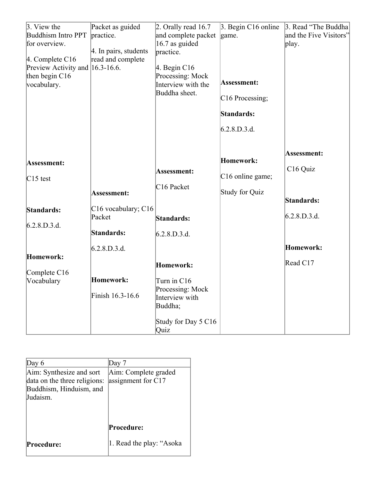| $\beta$ . View the                                  | Packet as guided      | 2. Orally read $16.7$               | $\beta$ . Begin C16 online   | 3. Read "The Buddha    |
|-----------------------------------------------------|-----------------------|-------------------------------------|------------------------------|------------------------|
| Buddhism Intro PPT                                  | practice.             | and complete packet                 | game.                        | and the Five Visitors" |
| for overview.                                       |                       | 16.7 as guided                      |                              | play.                  |
|                                                     | 4. In pairs, students | practice.                           |                              |                        |
| $ 4.$ Complete C16                                  | read and complete     |                                     |                              |                        |
| Preview Activity and 16.3-16.6.<br>then begin $C16$ |                       | $ 4.$ Begin C16<br>Processing: Mock |                              |                        |
| vocabulary.                                         |                       | Interview with the                  | Assessment:                  |                        |
|                                                     |                       | Buddha sheet.                       |                              |                        |
|                                                     |                       |                                     | C <sub>16</sub> Processing;  |                        |
|                                                     |                       |                                     | Standards:                   |                        |
|                                                     |                       |                                     | 6.2.8.D.3.d.                 |                        |
|                                                     |                       |                                     |                              |                        |
|                                                     |                       |                                     |                              | Assessment:            |
| Assessment:                                         |                       |                                     | Homework:                    |                        |
|                                                     |                       | Assessment:                         |                              | C16 Quiz               |
| $C15$ test                                          |                       |                                     | C <sub>16</sub> online game; |                        |
|                                                     | <b>Assessment:</b>    | $C16$ Packet                        | Study for Quiz               |                        |
|                                                     |                       |                                     |                              | Standards:             |
| Standards:                                          | C16 vocabulary; C16   |                                     |                              |                        |
|                                                     | Packet                | Standards:                          |                              | 6.2.8.D.3.d.           |
| 6.2.8.D.3.d.                                        |                       |                                     |                              |                        |
|                                                     | Standards:            | 6.2.8.D.3.d.                        |                              |                        |
|                                                     | 6.2.8.D.3.d.          |                                     |                              | Homework:              |
| Homework:                                           |                       |                                     |                              |                        |
|                                                     |                       | Homework:                           |                              | Read C17               |
| Complete C16                                        | Homework:             |                                     |                              |                        |
| Vocabulary                                          |                       | Turn in C16                         |                              |                        |
|                                                     | Finish 16.3-16.6      | Processing: Mock<br>Interview with  |                              |                        |
|                                                     |                       | Buddha;                             |                              |                        |
|                                                     |                       |                                     |                              |                        |
|                                                     |                       | Study for Day 5 C16                 |                              |                        |
|                                                     |                       | Quiz                                |                              |                        |

| Day $6$                                                                                         | Day 7                                        |
|-------------------------------------------------------------------------------------------------|----------------------------------------------|
| Aim: Synthesize and sort<br>data on the three religions:<br>Buddhism, Hinduism, and<br>Judaism. | Aim: Complete graded<br>assignment for $C17$ |
|                                                                                                 | Procedure:                                   |
| <b>Procedure:</b>                                                                               | 1. Read the play: "Asoka"                    |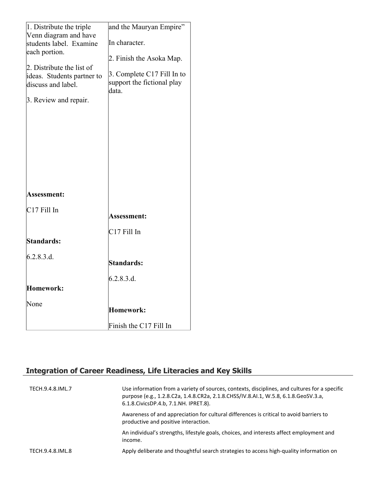| 1. Distribute the triple                         | and the Mauryan Empire"                                           |
|--------------------------------------------------|-------------------------------------------------------------------|
| Venn diagram and have<br>students label. Examine | In character.                                                     |
| each portion.                                    |                                                                   |
| 2. Distribute the list of                        | 2. Finish the Asoka Map.                                          |
| ideas. Students partner to<br>discuss and label. | 3. Complete C17 Fill In to<br>support the fictional play<br>data. |
| 3. Review and repair.                            |                                                                   |
|                                                  |                                                                   |
|                                                  |                                                                   |
|                                                  |                                                                   |
|                                                  |                                                                   |
|                                                  |                                                                   |
|                                                  |                                                                   |
|                                                  |                                                                   |
| Assessment:                                      |                                                                   |
| $C17$ Fill In                                    | <b>Assessment:</b>                                                |
|                                                  | $C17$ Fill In                                                     |
| Standards:                                       |                                                                   |
| 6.2.8.3.d.                                       |                                                                   |
|                                                  | Standards:                                                        |
|                                                  | 6.2.8.3.d.                                                        |
| Homework:                                        |                                                                   |
| None                                             | <b>Homework:</b>                                                  |
|                                                  | Finish the C17 Fill In                                            |

# **Integration of Career Readiness, Life Literacies and Key Skills**

| TECH.9.4.8.IML.7 | Use information from a variety of sources, contexts, disciplines, and cultures for a specific<br>purpose (e.g., 1.2.8.C2a, 1.4.8.CR2a, 2.1.8.CHSS/IV.8.AI.1, W.5.8, 6.1.8.GeoSV.3.a,<br>6.1.8. Civics DP.4.b, 7.1. NH. IPRET.8). |
|------------------|----------------------------------------------------------------------------------------------------------------------------------------------------------------------------------------------------------------------------------|
|                  | Awareness of and appreciation for cultural differences is critical to avoid barriers to<br>productive and positive interaction.                                                                                                  |
| income.          | An individual's strengths, lifestyle goals, choices, and interests affect employment and                                                                                                                                         |
| TECH.9.4.8.IML.8 | Apply deliberate and thoughtful search strategies to access high-quality information on                                                                                                                                          |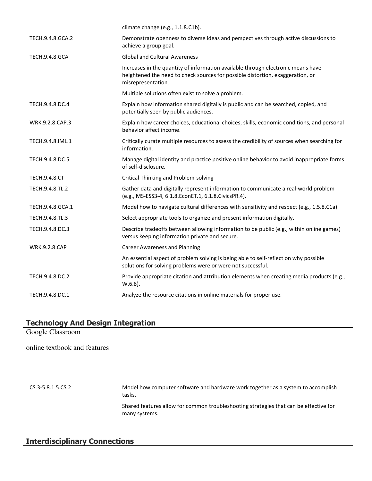|                       | climate change (e.g., 1.1.8.C1b).                                                                                                                                                        |
|-----------------------|------------------------------------------------------------------------------------------------------------------------------------------------------------------------------------------|
| TECH.9.4.8.GCA.2      | Demonstrate openness to diverse ideas and perspectives through active discussions to<br>achieve a group goal.                                                                            |
| <b>TECH.9.4.8.GCA</b> | <b>Global and Cultural Awareness</b>                                                                                                                                                     |
|                       | Increases in the quantity of information available through electronic means have<br>heightened the need to check sources for possible distortion, exaggeration, or<br>misrepresentation. |
|                       | Multiple solutions often exist to solve a problem.                                                                                                                                       |
| TECH.9.4.8.DC.4       | Explain how information shared digitally is public and can be searched, copied, and<br>potentially seen by public audiences.                                                             |
| WRK.9.2.8.CAP.3       | Explain how career choices, educational choices, skills, economic conditions, and personal<br>behavior affect income.                                                                    |
| TECH.9.4.8.IML.1      | Critically curate multiple resources to assess the credibility of sources when searching for<br>information.                                                                             |
| TECH.9.4.8.DC.5       | Manage digital identity and practice positive online behavior to avoid inappropriate forms<br>of self-disclosure.                                                                        |
| <b>TECH.9.4.8.CT</b>  | <b>Critical Thinking and Problem-solving</b>                                                                                                                                             |
| TECH.9.4.8.TL.2       | Gather data and digitally represent information to communicate a real-world problem<br>(e.g., MS-ESS3-4, 6.1.8.EconET.1, 6.1.8.CivicsPR.4).                                              |
| TECH.9.4.8.GCA.1      | Model how to navigate cultural differences with sensitivity and respect (e.g., 1.5.8.C1a).                                                                                               |
| TECH.9.4.8.TL.3       | Select appropriate tools to organize and present information digitally.                                                                                                                  |
| TECH.9.4.8.DC.3       | Describe tradeoffs between allowing information to be public (e.g., within online games)<br>versus keeping information private and secure.                                               |
| <b>WRK.9.2.8.CAP</b>  | <b>Career Awareness and Planning</b>                                                                                                                                                     |
|                       | An essential aspect of problem solving is being able to self-reflect on why possible<br>solutions for solving problems were or were not successful.                                      |
| TECH.9.4.8.DC.2       | Provide appropriate citation and attribution elements when creating media products (e.g.,<br>$W.6.8$ ).                                                                                  |
| TECH.9.4.8.DC.1       | Analyze the resource citations in online materials for proper use.                                                                                                                       |

# **Technology And Design Integration**

Google Classroom

online textbook and features

CS.3-5.8.1.5.CS.2 Model how computer software and hardware work together as a system to accomplish tasks. Shared features allow for common troubleshooting strategies that can be effective for many systems.

# **Interdisciplinary Connections**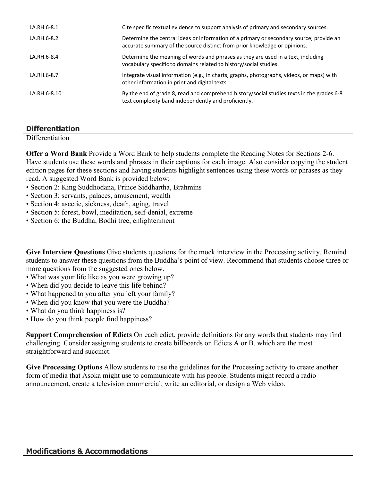| LA.RH.6-8.1  | Cite specific textual evidence to support analysis of primary and secondary sources.                                                                                 |
|--------------|----------------------------------------------------------------------------------------------------------------------------------------------------------------------|
| LA.RH.6-8.2  | Determine the central ideas or information of a primary or secondary source; provide an<br>accurate summary of the source distinct from prior knowledge or opinions. |
| LA.RH.6-8.4  | Determine the meaning of words and phrases as they are used in a text, including<br>vocabulary specific to domains related to history/social studies.                |
| LA.RH.6-8.7  | Integrate visual information (e.g., in charts, graphs, photographs, videos, or maps) with<br>other information in print and digital texts.                           |
| LA.RH.6-8.10 | By the end of grade 8, read and comprehend history/social studies texts in the grades 6-8<br>text complexity band independently and proficiently.                    |

# **Differentiation**

**Differentiation** 

**Offer a Word Bank** Provide a Word Bank to help students complete the Reading Notes for Sections 2-6. Have students use these words and phrases in their captions for each image. Also consider copying the student edition pages for these sections and having students highlight sentences using these words or phrases as they read. A suggested Word Bank is provided below:

- Section 2: King Suddhodana, Prince Siddhartha, Brahmins
- Section 3: servants, palaces, amusement, wealth
- Section 4: ascetic, sickness, death, aging, travel
- Section 5: forest, bowl, meditation, self-denial, extreme
- Section 6: the Buddha, Bodhi tree, enlightenment

**Give Interview Questions** Give students questions for the mock interview in the Processing activity. Remind students to answer these questions from the Buddha's point of view. Recommend that students choose three or more questions from the suggested ones below.

- What was your life like as you were growing up?
- When did you decide to leave this life behind?
- What happened to you after you left your family?
- When did you know that you were the Buddha?
- What do you think happiness is?
- How do you think people find happiness?

**Support Comprehension of Edicts** On each edict, provide definitions for any words that students may find challenging. Consider assigning students to create billboards on Edicts A or B, which are the most straightforward and succinct.

**Give Processing Options** Allow students to use the guidelines for the Processing activity to create another form of media that Asoka might use to communicate with his people. Students might record a radio announcement, create a television commercial, write an editorial, or design a Web video.